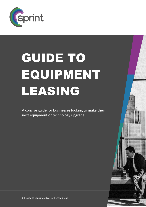

# GUIDE TO EQUIPMENT LEASING

A concise guide for businesses looking to make their next equipment or technology upgrade.

1 | Guide to Equipment Leasing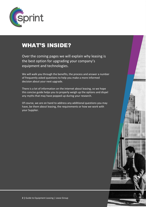

### WHAT'S INSIDE?

Over the coming pages we will explain why leasing is the best option for upgrading your company's equipment and technologies.

We will walk you through the benefits, the process and answer a number of frequently asked questions to help you make a more informed decision about your next upgrade.

There is a lot of information on the internet about leasing, so we hope this concise guide helps you to properly weigh up the options and dispel any myths that may have popped up during your research.

Of course, we are on hand to address any additional questions you may have about leasing in general or the requirements.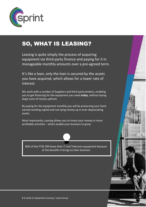

### SO, WHAT IS LEASING?

Leasing is quite simply the process of acquiring equipment via third-party finance and paying for it in manageable monthly amounts over a pre-agreed term.

It's like a loan, only the loan is secured by the assets you have acquired, which allows for a lower rate of interest.

We work with a number of Suppliers and third-party lenders, enabling you to get financing for the equipment you need *today*, without laying large sums of money upfront.

By paying for the equipment monthly you will be preserving your hardearned working capital and not tying money up in ever-depreciating assets.

Most importantly, Leasing allows you to invest your money in more profitable activities – which enable your business to grow.

80% of the FTSE 500 lease their IT and Telecoms equipment because of the benefits it brings to their business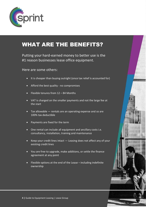

### WHAT ARE THE BENEFITS?

Putting your hard-earned money to better use is the #1 reason businesses lease office equipment.

### Here are some others:

- It is cheaper than buying outright (once tax relief is accounted for)
- Afford the best quality no compromises
- Flexible tenures from 12 84 Months
- VAT is charged on the smaller payments and not the large fee at the start
- Tax allowable rentals are an operating expense and so are 100% tax deductible
- Payments are fixed for the term
- One rental can include all equipment and ancillary costs i.e. consultancy, installation, training and maintenance
- Keep your credit lines intact Leasing does not affect any of your existing credit lines
- You are free to upgrade, make additions, or settle the finance agreement at any point
- Flexible options at the end of the Lease including indefinite ownership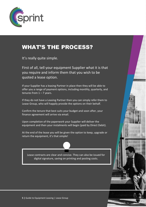

### WHAT'S THE PROCESS?

It's really quite simple.

First of all, tell your equipment Supplier what it is that you require and inform them that you wish to be quoted a lease option.

If your Supplier has a leasing Partner in place then they will be able to offer you a range of payment options, including monthly, quarterly, and tenures from  $1 - 7$  years.

Confirm the tenure that best suits your budget and soon after, your finance agreement will arrive via email.

Upon completion of the paperwork your Supplier will deliver the equipment and then your instalments will begin (paid by Direct Debit).

At the end of the lease you will be given the option to keep, upgrade or return the equipment, it's that simple!

Lease contracts are clear and concise. They can also be issued for digital signature, saving on printing and posting costs.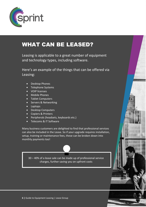

### WHAT CAN BE LEASED?

Leasing is applicable to a great number of equipment and technology types, including software.

Here's an example of the things that can be offered via Leasing:

- Desktop Phones
- Telephone Systems
- VOIP licenses
- Mobile Phones
- Tablet Computers
- Servers & Networking
- Laptops
- Desktop Computers
- Copiers & Printers
- Peripherals (headsets, keyboards etc.)
- Telecoms & IT Software

Many business customers are delighted to find that professional services can also be included in the Lease. So if your upgrade requires installation, setup, training or maintenance fees, these can be broken down into monthly payments too!

30 – 40% of a lease sale can be made up of professional service charges, further saving you on upfront costs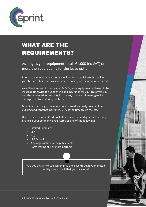

# WHAT ARE THE REQUIREMENTS?

As long as your equipment totals £1,000 (ex VAT) or more then you qualify for the lease option.

Prior to paperwork being sent we will perform a quick credit check on your business to ensure we can secure funding for the amount required.

As will be itemised in our Lender Ts & Cs, your equipment will need to be insured; otherwise the Lender will add insurance for you. This gives you and the Lender added security in case any of the equipment gets lost, damaged or stolen during the term.

Do not worry though, the equipment is usually already covered in your building and contents insurance, 97% of the time this is the case.

Due to the Consumer Credit Act, it can be easier and quicker to arrange finance if your company is registered as one of the following:

- Limited Company
- $\bullet$  LLP
- PLC
- LEA School
- Any organisation in the public sector
- Partnerships of 4 or more partners

Are you a Charity? We can finance the lease through your limited entity if so – check that you have one!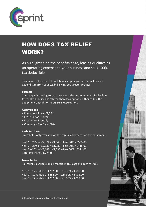

# HOW DOES TAX RELIEF WORK?

As highlighted on the benefits page, leasing qualifies as an operating expense to your business and so is 100% tax deductible.

This means, at the end of each financial year you can deduct Leased expenditure from your tax bill, giving you greater profits!

#### **Example**

Company A is looking to purchase new telecoms equipment for its Sales force. The supplier has offered them two options, either to buy the equipment outright or to utilise a lease option.

#### **Assumptions:**

- Equipment Price: £7,374
- Lease Period: 3 Years
- Frequency: Monthly
- Company's Tax Rate: 30%

#### **Cash Purchase**

Tax relief is only available on the capital allowances on the equipment.

Year 1 – 25% of £7,374 = £1,843 – Less 30% = £553.00 Year 2 – 25% of £5,531 = £1,383 – Less 30% = £415.00 Year 3 – 25% of £4,148 = £1,037 – Less 30% = £311.00 **Total tax relief: £1,279.00**

**Lease Rental** Tax relief is available on all rentals, in this case at a rate of 30%.

Year 1 – 12 rentals of £252.00 – Less 30% = £908.00 Year 2 – 12 rentals of £252.00 – Less 30% = £908.00 Year 3 – 12 rentals of £252.00 – Less 30% = £908.00